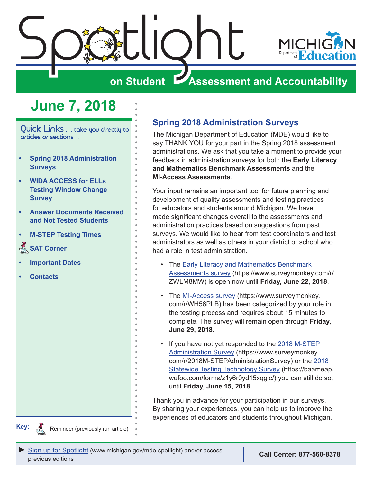<span id="page-0-0"></span>

# **on Student Assessment and Accountability**

# **June 7, 2018**

Quick Links . . . take you directly to articles or sections . . .

- **• Spring 2018 Administration Surveys**
- **• [WIDA ACCESS for ELLs](#page-1-0)  [Testing Window Change](#page-1-0)  [Survey](#page-1-0)**
- **• [Answer Documents Received](#page-1-0)  [and Not Tested Students](#page-1-0)**
- **• [M-STEP Testing Times](#page-2-0)**
- **SAT Corner**
- **• [Important Dates](#page-6-0)**
- **• [Contacts](#page-7-0)**

### **Spring 2018 Administration Surveys**

The Michigan Department of Education (MDE) would like to say THANK YOU for your part in the Spring 2018 assessment administrations. We ask that you take a moment to provide your feedback in administration surveys for both the **Early Literacy and Mathematics Benchmark Assessments** and the **MI-Access Assessments**.

Your input remains an important tool for future planning and development of quality assessments and testing practices for educators and students around Michigan. We have made significant changes overall to the assessments and administration practices based on suggestions from past surveys. We would like to hear from test coordinators and test administrators as well as others in your district or school who had a role in test administration.

- The [Early Literacy and Mathematics Benchmark](https://www.surveymonkey.com/r/ZWLM8MW)  [Assessments survey](https://www.surveymonkey.com/r/ZWLM8MW) (https://www.surveymonkey.com/r/ ZWLM8MW) is open now until **Friday, June 22, 2018**.
- The [MI-Access survey](https://www.surveymonkey.com/r/WH56PLB) (https://www.surveymonkey. com/r/WH56PLB) has been categorized by your role in the testing process and requires about 15 minutes to complete. The survey will remain open through **Friday, June 29, 2018**.
- If you have not yet responded to the 2018 M-STEP [Administration Survey](https://www.surveymonkey.com/r/2018M-STEPAdministrationSurvey) (https://www.surveymonkey. com/r/2018M-STEPAdministrationSurvey) or the [2018](https://baameap.wufoo.com/forms/z1y6r0yd15xqgic/)  [Statewide Testing Technology Survey](https://baameap.wufoo.com/forms/z1y6r0yd15xqgic/) (https://baameap. wufoo.com/forms/z1y6r0yd15xqgic/) you can still do so, until **Friday, June 15, 2018**.

Thank you in advance for your participation in our surveys. By sharing your experiences, you can help us to improve the experiences of educators and students throughout Michigan.



Reminder (previously run article)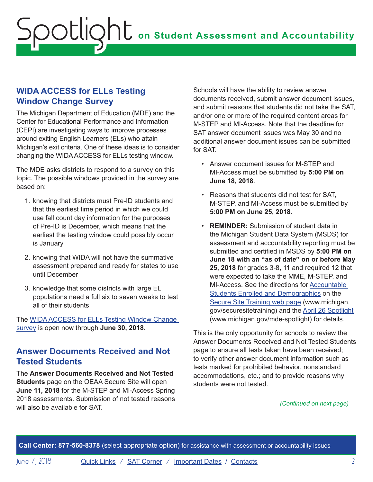### <span id="page-1-0"></span>**WIDA ACCESS for ELLs Testing Window Change Survey**

The Michigan Department of Education (MDE) and the Center for Educational Performance and Information (CEPI) are investigating ways to improve processes around exiting English Learners (ELs) who attain Michigan's exit criteria. One of these ideas is to consider changing the WIDA ACCESS for ELLs testing window.

The MDE asks districts to respond to a survey on this topic. The possible windows provided in the survey are based on:

- 1. knowing that districts must Pre-ID students and that the earliest time period in which we could use fall count day information for the purposes of Pre-ID is December, which means that the earliest the testing window could possibly occur is January
- 2. knowing that WIDA will not have the summative assessment prepared and ready for states to use until December
- 3. knowledge that some districts with large EL populations need a full six to seven weeks to test all of their students

The [WIDA ACCESS for ELLs Testing Window Change](https://docs.google.com/forms/d/e/1FAIpQLSdlHPBl8-HNH3_I7tLgGbDIqLJkl-CzdYzPisXj7xz4WkYhTQ/viewform)  [survey](https://docs.google.com/forms/d/e/1FAIpQLSdlHPBl8-HNH3_I7tLgGbDIqLJkl-CzdYzPisXj7xz4WkYhTQ/viewform) is open now through **June 30, 2018**.

### **Answer Documents Received and Not Tested Students**

The **Answer Documents Received and Not Tested Students** page on the OEAA Secure Site will open **June 11, 2018** for the M-STEP and MI-Access Spring 2018 assessments. Submission of not tested reasons will also be available for SAT.

Schools will have the ability to review answer documents received, submit answer document issues, and submit reasons that students did not take the SAT, and/or one or more of the required content areas for M-STEP and MI-Access. Note that the deadline for SAT answer document issues was May 30 and no additional answer document issues can be submitted for SAT.

- Answer document issues for M-STEP and MI-Access must be submitted by **5:00 PM on June 18, 2018**.
- Reasons that students did not test for SAT, M-STEP, and MI-Access must be submitted by **5:00 PM on June 25, 2018**.
- **REMINDER:** Submission of student data in the Michigan Student Data System (MSDS) for assessment and accountability reporting must be submitted and certified in MSDS by **5:00 PM on June 18 with an "as of date" on or before May 25, 2018** for grades 3-8, 11 and required 12 that were expected to take the MME, M-STEP, and MI-Access. See the directions for [Accountable](https://www.michigan.gov/documents/mde/Accountable_Students_Enrolled_and_Demographics_621314_7.pdf)  [Students Enrolled and Demographics](https://www.michigan.gov/documents/mde/Accountable_Students_Enrolled_and_Demographics_621314_7.pdf) on the [Secure Site Training web page](http://www.michigan.gov/securesitetraining) (www.michigan. gov/securesitetraining) and the [April 26 Spotlight](https://www.michigan.gov/documents/mde/Spotlight_4-26-18_621546_7.pdf) (www.michigan.gov/mde-spotlight) for details.

This is the only opportunity for schools to review the Answer Documents Received and Not Tested Students page to ensure all tests taken have been received; to verify other answer document information such as tests marked for prohibited behavior, nonstandard accommodations, etc.; and to provide reasons why students were not tested.

#### *(Continued on next page)*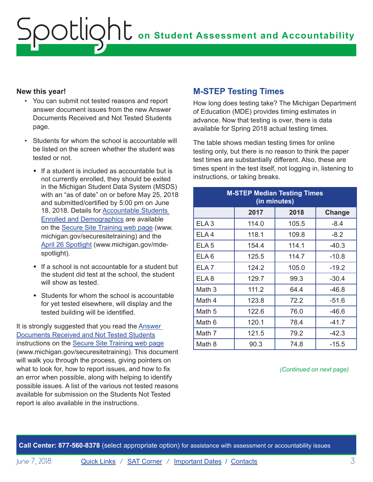#### <span id="page-2-0"></span>**New this year!**

- You can submit not tested reasons and report answer document issues from the new Answer Documents Received and Not Tested Students page.
- Students for whom the school is accountable will be listed on the screen whether the student was tested or not.
	- $\cdot$  If a student is included as accountable but is not currently enrolled, they should be exited in the Michigan Student Data System (MSDS) with an "as of date" on or before May 25, 2018 and submitted/certified by 5:00 pm on June 18, 2018. Details for **Accountable Students** [Enrolled and Demographics](https://www.michigan.gov/documents/mde/Accountable_Students_Enrolled_and_Demographics_621314_7.pdf) are available on the [Secure Site Training web page](http://www.michigan.gov/securesitetraining) (www. michigan.gov/securesitetraining) and the [April 26 Spotlight](https://www.michigan.gov/documents/mde/Spotlight_4-26-18_621546_7.pdf) (www.michigan.gov/mdespotlight).
	- $\cdot$  If a school is not accountable for a student but the student did test at the school, the student will show as tested.
	- $\bullet$  Students for whom the school is accountable for yet tested elsewhere, will display and the tested building will be identified.

It is strongly suggested that you read the [Answer](https://www.michigan.gov/documents/mde/Answer_Documents_Received_and_Not_Tested_Students_instructions_623116_7.pdf)  [Documents Received and Not Tested Students](https://www.michigan.gov/documents/mde/Answer_Documents_Received_and_Not_Tested_Students_instructions_623116_7.pdf) instructions on the [Secure Site Training web page](http://www.michigan.gov/securesitetraining) (www.michigan.gov/securesitetraining). This document will walk you through the process, giving pointers on what to look for, how to report issues, and how to fix an error when possible, along with helping to identify possible issues. A list of the various not tested reasons available for submission on the Students Not Tested report is also available in the instructions.

### **M-STEP Testing Times**

How long does testing take? The Michigan Department of Education (MDE) provides timing estimates in advance. Now that testing is over, there is data available for Spring 2018 actual testing times.

The table shows median testing times for online testing only, but there is no reason to think the paper test times are substantially different. Also, these are times spent in the test itself, not logging in, listening to instructions, or taking breaks.

| <b>M-STEP Median Testing Times</b><br>(in minutes) |       |       |         |  |
|----------------------------------------------------|-------|-------|---------|--|
|                                                    | 2017  | 2018  | Change  |  |
| ELA <sub>3</sub>                                   | 114.0 | 105.5 | $-8.4$  |  |
| ELA <sub>4</sub>                                   | 118.1 | 109.8 | $-8.2$  |  |
| ELA <sub>5</sub>                                   | 154.4 | 114.1 | $-40.3$ |  |
| ELA <sub>6</sub>                                   | 125.5 | 114.7 | $-10.8$ |  |
| ELA <sub>7</sub>                                   | 124.2 | 105.0 | $-19.2$ |  |
| ELA <sub>8</sub>                                   | 129.7 | 99.3  | $-30.4$ |  |
| Math 3                                             | 111.2 | 64.4  | $-46.8$ |  |
| Math 4                                             | 123.8 | 72.2  | $-51.6$ |  |
| Math 5                                             | 122.6 | 76.0  | $-46.6$ |  |
| Math 6                                             | 120.1 | 78.4  | $-41.7$ |  |
| Math 7                                             | 121.5 | 79.2  | $-42.3$ |  |
| Math 8                                             | 90.3  | 74.8  | $-15.5$ |  |

*(Continued on next page)*

**Call Center: 877-560-8378** (select appropriate option) for assistance with assessment or accountability issues

June 7, 2018 **[Quick Links](#page-0-0)** / **[SAT Corner](#page-4-1)** / **[Important Dates](#page-6-1)** / **[Contacts](#page-7-1)** 3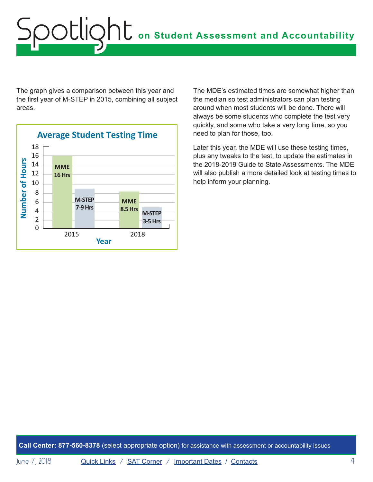# **on Student Assessment and Accountability** Spotlight

The graph gives a comparison between this year and the first year of M-STEP in 2015, combining all subject areas.



The MDE's estimated times are somewhat higher than the median so test administrators can plan testing around when most students will be done. There will always be some students who complete the test very quickly, and some who take a very long time, so you need to plan for those, too.

Later this year, the MDE will use these testing times, plus any tweaks to the test, to update the estimates in the 2018-2019 Guide to State Assessments. The MDE will also publish a more detailed look at testing times to help inform your planning.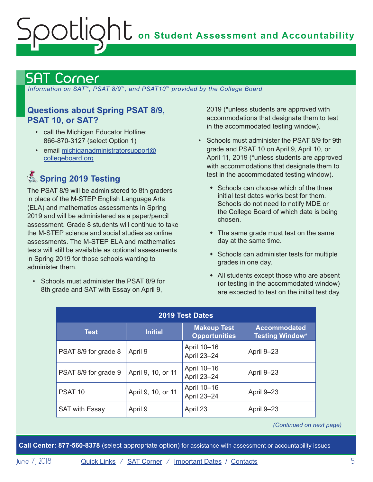# <span id="page-4-0"></span>**on Student Assessment and Accountability** Spotlight

# <span id="page-4-1"></span>Corner

 *Information on SAT*™*, PSAT 8/9*™*, and PSAT10*™ *provided by the College Board*

### **Questions about Spring PSAT 8/9, PSAT 10, or SAT?**

- call the Michigan Educator Hotline: 866-870-3127 (select Option 1)
- email [michiganadministratorsupport@](mailto:michiganadministratorsupport%40collegeboard.org?subject=) [collegeboard.org](mailto:michiganadministratorsupport%40collegeboard.org?subject=)

# **Spring 2019 Testing**

The PSAT 8/9 will be administered to 8th graders in place of the M-STEP English Language Arts (ELA) and mathematics assessments in Spring 2019 and will be administered as a paper/pencil assessment. Grade 8 students will continue to take the M-STEP science and social studies as online assessments. The M-STEP ELA and mathematics tests will still be available as optional assessments in Spring 2019 for those schools wanting to administer them.

• Schools must administer the PSAT 8/9 for 8th grade and SAT with Essay on April 9,

2019 (\*unless students are approved with accommodations that designate them to test in the accommodated testing window).

- Schools must administer the PSAT 8/9 for 9th grade and PSAT 10 on April 9, April 10, or April 11, 2019 (\*unless students are approved with accommodations that designate them to test in the accommodated testing window).
	- $\bullet$  Schools can choose which of the three initial test dates works best for them. Schools do not need to notify MDE or the College Board of which date is being chosen.
	- $\bullet$  The same grade must test on the same day at the same time.
	- $\bullet$  Schools can administer tests for multiple grades in one day.
	- $\bullet$  All students except those who are absent (or testing in the accommodated window) are expected to test on the initial test day.

| <b>2019 Test Dates</b> |                    |                                            |                                               |  |
|------------------------|--------------------|--------------------------------------------|-----------------------------------------------|--|
| <b>Test</b>            | <b>Initial</b>     | <b>Makeup Test</b><br><b>Opportunities</b> | <b>Accommodated</b><br><b>Testing Window*</b> |  |
| PSAT 8/9 for grade 8   | April 9            | April 10-16<br>April 23-24                 | April 9-23                                    |  |
| PSAT 8/9 for grade 9   | April 9, 10, or 11 | April 10-16<br>April 23-24                 | April 9-23                                    |  |
| PSAT <sub>10</sub>     | April 9, 10, or 11 | April 10-16<br>April 23-24                 | April 9-23                                    |  |
| <b>SAT with Essay</b>  | April 9            | April 23                                   | April 9-23                                    |  |

*(Continued on next page)*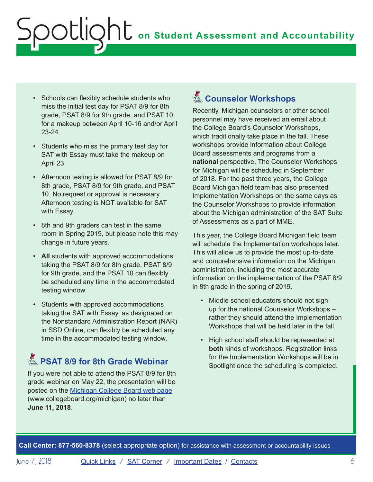- Schools can flexibly schedule students who miss the initial test day for PSAT 8/9 for 8th grade, PSAT 8/9 for 9th grade, and PSAT 10 for a makeup between April 10-16 and/or April 23-24.
- Students who miss the primary test day for SAT with Essay must take the makeup on April 23.
- Afternoon testing is allowed for PSAT 8/9 for 8th grade, PSAT 8/9 for 9th grade, and PSAT 10. No request or approval is necessary. Afternoon testing is NOT available for SAT with Essay.
- 8th and 9th graders can test in the same room in Spring 2019, but please note this may change in future years.
- **All** students with approved accommodations taking the PSAT 8/9 for 8th grade, PSAT 8/9 for 9th grade, and the PSAT 10 can flexibly be scheduled any time in the accommodated testing window.
- Students with approved accommodations taking the SAT with Essay, as designated on the Nonstandard Administration Report (NAR) in SSD Online, can flexibly be scheduled any time in the accommodated testing window.

# **PSAT 8/9 for 8th Grade Webinar**

If you were not able to attend the PSAT 8/9 for 8th grade webinar on May 22, the presentation will be posted on the [Michigan College Board web page](http://www.collegeboard.org/michigan) (www.collegeboard.org/michigan) no later than **June 11, 2018**.

# Reminders **Counselor Workshops**

Recently, Michigan counselors or other school personnel may have received an email about the College Board's Counselor Workshops, which traditionally take place in the fall. These workshops provide information about College Board assessments and programs from a **national** perspective. The Counselor Workshops for Michigan will be scheduled in September of 2018. For the past three years, the College Board Michigan field team has also presented Implementation Workshops on the same days as the Counselor Workshops to provide information about the Michigan administration of the SAT Suite of Assessments as a part of MME.

This year, the College Board Michigan field team will schedule the Implementation workshops later. This will allow us to provide the most up-to-date and comprehensive information on the Michigan administration, including the most accurate information on the implementation of the PSAT 8/9 in 8th grade in the spring of 2019.

- Middle school educators should not sign up for the national Counselor Workshops – rather they should attend the Implementation Workshops that will be held later in the fall.
- High school staff should be represented at **both** kinds of workshops. Registration links for the Implementation Workshops will be in Spotlight once the scheduling is completed.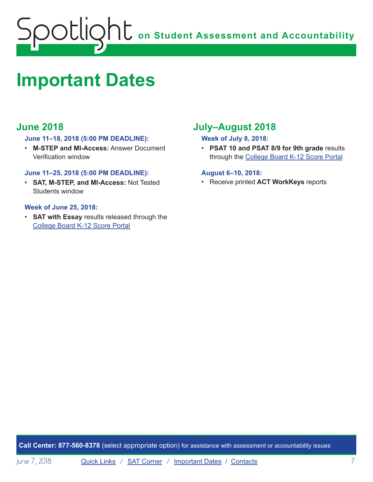<span id="page-6-0"></span>

# <span id="page-6-1"></span>**Important Dates**

## **June 2018**

#### **June 11–18, 2018 (5:00 PM DEADLINE):**

• **M-STEP and MI-Access:** Answer Document Verification window

#### **June 11–25, 2018 (5:00 PM DEADLINE):**

• **SAT, M-STEP, and MI-Access:** Not Tested Students window

#### **Week of June 25, 2018:**

• **SAT with Essay** results released through the [College Board K-12 Score Portal](https://k12reports.collegeboard.org/login)

# **July–August 2018**

#### **Week of July 8, 2018:**

• **PSAT 10 and PSAT 8/9 for 9th grade** results through the [College Board K-12 Score Portal](https://k12reports.collegeboard.org/login)

#### **August 6–10, 2018:**

• Receive printed **ACT WorkKeys** reports